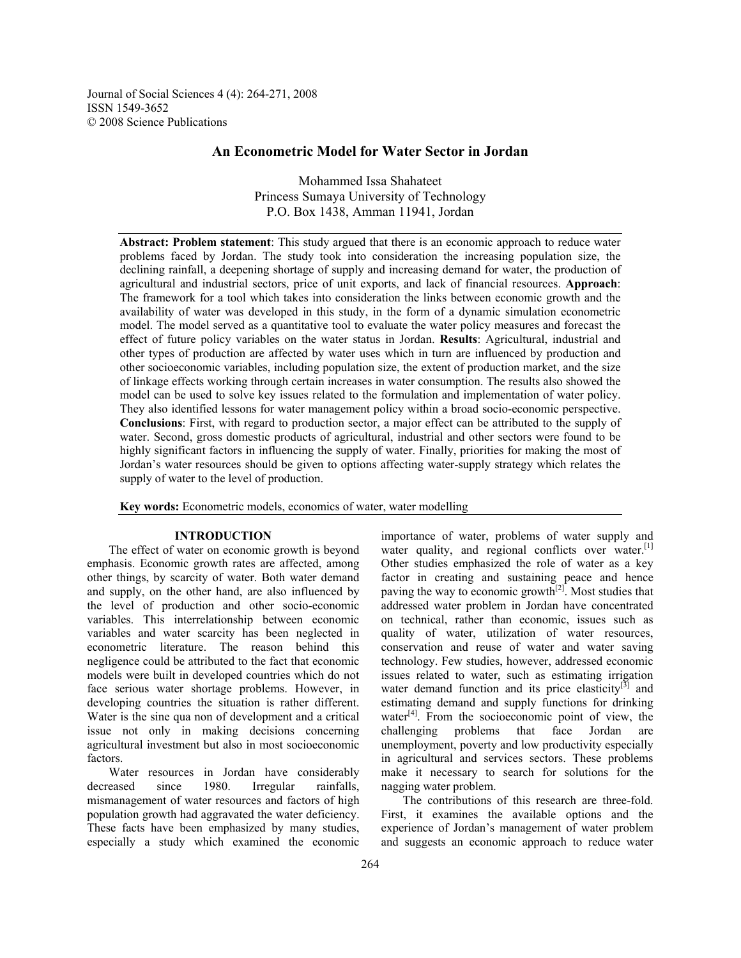Journal of Social Sciences 4 (4): 264-271, 2008 ISSN 1549-3652 © 2008 Science Publications

# **An Econometric Model for Water Sector in Jordan**

Mohammed Issa Shahateet Princess Sumaya University of Technology P.O. Box 1438, Amman 11941, Jordan

**Abstract: Problem statement**: This study argued that there is an economic approach to reduce water problems faced by Jordan. The study took into consideration the increasing population size, the declining rainfall, a deepening shortage of supply and increasing demand for water, the production of agricultural and industrial sectors, price of unit exports, and lack of financial resources. **Approach**: The framework for a tool which takes into consideration the links between economic growth and the availability of water was developed in this study, in the form of a dynamic simulation econometric model. The model served as a quantitative tool to evaluate the water policy measures and forecast the effect of future policy variables on the water status in Jordan. **Results**: Agricultural, industrial and other types of production are affected by water uses which in turn are influenced by production and other socioeconomic variables, including population size, the extent of production market, and the size of linkage effects working through certain increases in water consumption. The results also showed the model can be used to solve key issues related to the formulation and implementation of water policy. They also identified lessons for water management policy within a broad socio-economic perspective. **Conclusions**: First, with regard to production sector, a major effect can be attributed to the supply of water. Second, gross domestic products of agricultural, industrial and other sectors were found to be highly significant factors in influencing the supply of water. Finally, priorities for making the most of Jordan's water resources should be given to options affecting water-supply strategy which relates the supply of water to the level of production.

**Key words:** Econometric models, economics of water, water modelling

### **INTRODUCTION**

 The effect of water on economic growth is beyond emphasis. Economic growth rates are affected, among other things, by scarcity of water. Both water demand and supply, on the other hand, are also influenced by the level of production and other socio-economic variables. This interrelationship between economic variables and water scarcity has been neglected in econometric literature. The reason behind this negligence could be attributed to the fact that economic models were built in developed countries which do not face serious water shortage problems. However, in developing countries the situation is rather different. Water is the sine qua non of development and a critical issue not only in making decisions concerning agricultural investment but also in most socioeconomic factors.

 Water resources in Jordan have considerably decreased since 1980. Irregular rainfalls, mismanagement of water resources and factors of high population growth had aggravated the water deficiency. These facts have been emphasized by many studies, especially a study which examined the economic

importance of water, problems of water supply and water quality, and regional conflicts over water. $[1]$ Other studies emphasized the role of water as a key factor in creating and sustaining peace and hence paving the way to economic growth $[2]$ . Most studies that addressed water problem in Jordan have concentrated on technical, rather than economic, issues such as quality of water, utilization of water resources, conservation and reuse of water and water saving technology. Few studies, however, addressed economic issues related to water, such as estimating irrigation water demand function and its price elasticity $\left[3\right]$  and estimating demand and supply functions for drinking water $[4]$ . From the socioeconomic point of view, the challenging problems that face Jordan are unemployment, poverty and low productivity especially in agricultural and services sectors. These problems make it necessary to search for solutions for the nagging water problem.

 The contributions of this research are three-fold. First, it examines the available options and the experience of Jordan's management of water problem and suggests an economic approach to reduce water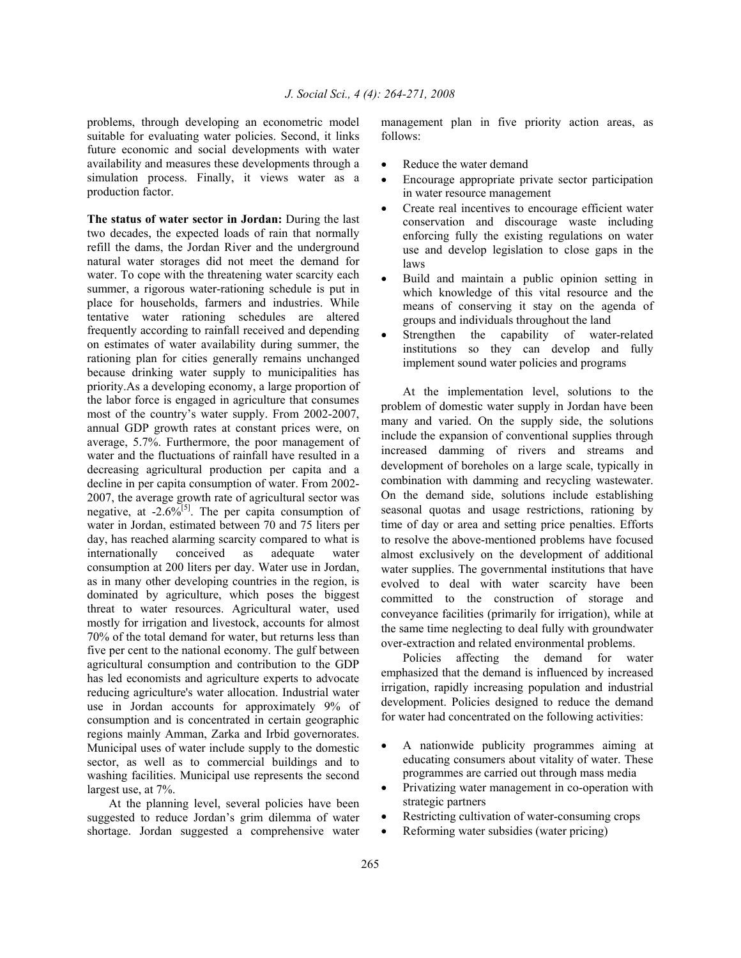problems, through developing an econometric model suitable for evaluating water policies. Second, it links future economic and social developments with water availability and measures these developments through a simulation process. Finally, it views water as a production factor.

**The status of water sector in Jordan:** During the last two decades, the expected loads of rain that normally refill the dams, the Jordan River and the underground natural water storages did not meet the demand for water. To cope with the threatening water scarcity each summer, a rigorous water-rationing schedule is put in place for households, farmers and industries. While tentative water rationing schedules are altered frequently according to rainfall received and depending on estimates of water availability during summer, the rationing plan for cities generally remains unchanged because drinking water supply to municipalities has priority.As a developing economy, a large proportion of the labor force is engaged in agriculture that consumes most of the country's water supply. From 2002-2007, annual GDP growth rates at constant prices were, on average, 5.7%. Furthermore, the poor management of water and the fluctuations of rainfall have resulted in a decreasing agricultural production per capita and a decline in per capita consumption of water. From 2002- 2007, the average growth rate of agricultural sector was negative, at  $-2.6\%^{51}$ . The per capita consumption of water in Jordan, estimated between 70 and 75 liters per day, has reached alarming scarcity compared to what is internationally conceived as adequate water consumption at 200 liters per day. Water use in Jordan, as in many other developing countries in the region, is dominated by agriculture, which poses the biggest threat to water resources. Agricultural water, used mostly for irrigation and livestock, accounts for almost 70% of the total demand for water, but returns less than five per cent to the national economy. The gulf between agricultural consumption and contribution to the GDP has led economists and agriculture experts to advocate reducing agriculture's water allocation. Industrial water use in Jordan accounts for approximately 9% of consumption and is concentrated in certain geographic regions mainly Amman, Zarka and Irbid governorates. Municipal uses of water include supply to the domestic sector, as well as to commercial buildings and to washing facilities. Municipal use represents the second largest use, at 7%.

 At the planning level, several policies have been suggested to reduce Jordan's grim dilemma of water shortage. Jordan suggested a comprehensive water

management plan in five priority action areas, as follows:

- Reduce the water demand
- Encourage appropriate private sector participation in water resource management
- Create real incentives to encourage efficient water conservation and discourage waste including enforcing fully the existing regulations on water use and develop legislation to close gaps in the laws
- Build and maintain a public opinion setting in which knowledge of this vital resource and the means of conserving it stay on the agenda of groups and individuals throughout the land
- Strengthen the capability of water-related institutions so they can develop and fully implement sound water policies and programs

 At the implementation level, solutions to the problem of domestic water supply in Jordan have been many and varied. On the supply side, the solutions include the expansion of conventional supplies through increased damming of rivers and streams and development of boreholes on a large scale, typically in combination with damming and recycling wastewater. On the demand side, solutions include establishing seasonal quotas and usage restrictions, rationing by time of day or area and setting price penalties. Efforts to resolve the above-mentioned problems have focused almost exclusively on the development of additional water supplies. The governmental institutions that have evolved to deal with water scarcity have been committed to the construction of storage and conveyance facilities (primarily for irrigation), while at the same time neglecting to deal fully with groundwater over-extraction and related environmental problems.

 Policies affecting the demand for water emphasized that the demand is influenced by increased irrigation, rapidly increasing population and industrial development. Policies designed to reduce the demand for water had concentrated on the following activities:

- A nationwide publicity programmes aiming at educating consumers about vitality of water. These programmes are carried out through mass media
- Privatizing water management in co-operation with strategic partners
- Restricting cultivation of water-consuming crops
- Reforming water subsidies (water pricing)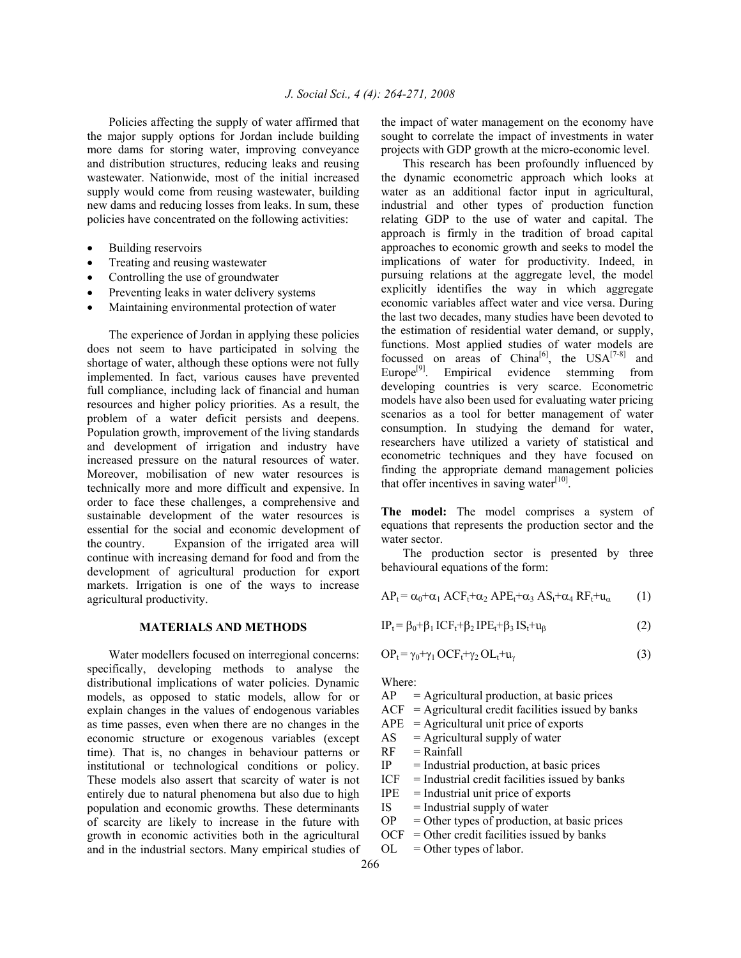Policies affecting the supply of water affirmed that the major supply options for Jordan include building more dams for storing water, improving conveyance and distribution structures, reducing leaks and reusing wastewater. Nationwide, most of the initial increased supply would come from reusing wastewater, building new dams and reducing losses from leaks. In sum, these policies have concentrated on the following activities:

- Building reservoirs
- Treating and reusing wastewater
- Controlling the use of groundwater
- Preventing leaks in water delivery systems
- Maintaining environmental protection of water

 The experience of Jordan in applying these policies does not seem to have participated in solving the shortage of water, although these options were not fully implemented. In fact, various causes have prevented full compliance, including lack of financial and human resources and higher policy priorities. As a result, the problem of a water deficit persists and deepens. Population growth, improvement of the living standards and development of irrigation and industry have increased pressure on the natural resources of water. Moreover, mobilisation of new water resources is technically more and more difficult and expensive. In order to face these challenges, a comprehensive and sustainable development of the water resources is essential for the social and economic development of the country. Expansion of the irrigated area will continue with increasing demand for food and from the development of agricultural production for export markets. Irrigation is one of the ways to increase agricultural productivity.

## **MATERIALS AND METHODS**

 Water modellers focused on interregional concerns: specifically, developing methods to analyse the distributional implications of water policies. Dynamic models, as opposed to static models, allow for or explain changes in the values of endogenous variables as time passes, even when there are no changes in the economic structure or exogenous variables (except time). That is, no changes in behaviour patterns or institutional or technological conditions or policy. These models also assert that scarcity of water is not entirely due to natural phenomena but also due to high population and economic growths. These determinants of scarcity are likely to increase in the future with growth in economic activities both in the agricultural and in the industrial sectors. Many empirical studies of

the impact of water management on the economy have sought to correlate the impact of investments in water projects with GDP growth at the micro-economic level.

 This research has been profoundly influenced by the dynamic econometric approach which looks at water as an additional factor input in agricultural, industrial and other types of production function relating GDP to the use of water and capital. The approach is firmly in the tradition of broad capital approaches to economic growth and seeks to model the implications of water for productivity. Indeed, in pursuing relations at the aggregate level, the model explicitly identifies the way in which aggregate economic variables affect water and vice versa. During the last two decades, many studies have been devoted to the estimation of residential water demand, or supply, functions. Most applied studies of water models are focussed on areas of China<sup>[6]</sup>, the USA<sup>[7-8]</sup> and Europe<sup>[9]</sup>. Empirical evidence stemming from developing countries is very scarce. Econometric models have also been used for evaluating water pricing scenarios as a tool for better management of water consumption. In studying the demand for water, researchers have utilized a variety of statistical and econometric techniques and they have focused on finding the appropriate demand management policies that offer incentives in saving water $[10]$ .

**The model:** The model comprises a system of equations that represents the production sector and the water sector.

 The production sector is presented by three behavioural equations of the form:

 $AP_t = \alpha_0 + \alpha_1 ACF_t + \alpha_2 APE_t + \alpha_3 AS_t + \alpha_4 RF_t + u_\alpha$  (1)

$$
IP_t = \beta_0 + \beta_1 ICF_t + \beta_2 IPE_t + \beta_3 IS_t + u_\beta
$$
 (2)

$$
OP_t = \gamma_0 + \gamma_1 OCF_t + \gamma_2 O L_t + u_\gamma
$$
\n(3)

Where:

 $AP =$  Agricultural production, at basic prices

 $ACF =$  Agricultural credit facilities issued by banks

 $APE =$  Agricultural unit price of exports

 $AS =$  Agricultural supply of water

- $RF = Rainfall$
- $IP$  = Industrial production, at basic prices
- $ICF = Industrial credit facilities issued by banks$
- $IPE$  = Industrial unit price of exports
- $IS =$ Industrial supply of water
- $OP = Other types of production, at basic prices$
- $OCF = Other credit facilities issued by banks$
- $OL = Other types of labor.$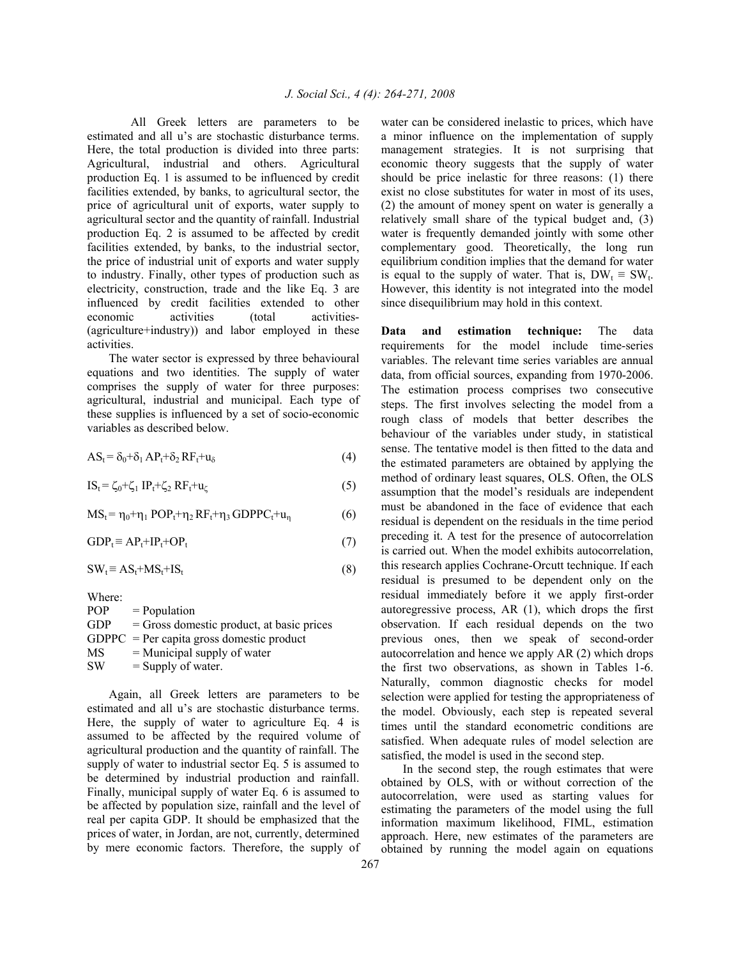All Greek letters are parameters to be estimated and all u's are stochastic disturbance terms. Here, the total production is divided into three parts: Agricultural, industrial and others. Agricultural production Eq. 1 is assumed to be influenced by credit facilities extended, by banks, to agricultural sector, the price of agricultural unit of exports, water supply to agricultural sector and the quantity of rainfall. Industrial production Eq. 2 is assumed to be affected by credit facilities extended, by banks, to the industrial sector, the price of industrial unit of exports and water supply to industry. Finally, other types of production such as electricity, construction, trade and the like Eq. 3 are influenced by credit facilities extended to other economic activities (total activities-(agriculture+industry)) and labor employed in these activities.

 The water sector is expressed by three behavioural equations and two identities. The supply of water comprises the supply of water for three purposes: agricultural, industrial and municipal. Each type of these supplies is influenced by a set of socio-economic variables as described below.

$$
AS_t = \delta_0 + \delta_1 AP_t + \delta_2 RF_t + u_\delta
$$
\n<sup>(4)</sup>

$$
IS_t = \zeta_0 + \zeta_1 IP_t + \zeta_2 RF_t + u_\zeta \tag{5}
$$

 $MS_t = \eta_0 + \eta_1 POP_t + \eta_2 RF_t + \eta_3 GDPPC_t + u_n$  (6)

$$
GDP_t \equiv AP_t + IP_t + OP_t \tag{7}
$$

$$
SW_t \equiv AS_t + MS_t + IS_t \tag{8}
$$

Where:  $POP = Population$  $GDP = Gross$  domestic product, at basic prices  $GDPPC = Per$  capita gross domestic product  $MS =$  Municipal supply of water  $SW =$  Supply of water.

 Again, all Greek letters are parameters to be estimated and all u's are stochastic disturbance terms. Here, the supply of water to agriculture Eq. 4 is assumed to be affected by the required volume of agricultural production and the quantity of rainfall. The supply of water to industrial sector Eq. 5 is assumed to be determined by industrial production and rainfall. Finally, municipal supply of water Eq. 6 is assumed to be affected by population size, rainfall and the level of real per capita GDP. It should be emphasized that the prices of water, in Jordan, are not, currently, determined by mere economic factors. Therefore, the supply of

water can be considered inelastic to prices, which have a minor influence on the implementation of supply management strategies. It is not surprising that economic theory suggests that the supply of water should be price inelastic for three reasons: (1) there exist no close substitutes for water in most of its uses, (2) the amount of money spent on water is generally a relatively small share of the typical budget and, (3) water is frequently demanded jointly with some other complementary good. Theoretically, the long run equilibrium condition implies that the demand for water is equal to the supply of water. That is,  $DW_t \equiv SW_t$ . However, this identity is not integrated into the model since disequilibrium may hold in this context.

**Data and estimation technique:** The data requirements for the model include time-series variables. The relevant time series variables are annual data, from official sources, expanding from 1970-2006. The estimation process comprises two consecutive steps. The first involves selecting the model from a rough class of models that better describes the behaviour of the variables under study, in statistical sense. The tentative model is then fitted to the data and the estimated parameters are obtained by applying the method of ordinary least squares, OLS. Often, the OLS assumption that the model's residuals are independent must be abandoned in the face of evidence that each residual is dependent on the residuals in the time period preceding it. A test for the presence of autocorrelation is carried out. When the model exhibits autocorrelation, this research applies Cochrane-Orcutt technique. If each residual is presumed to be dependent only on the residual immediately before it we apply first-order autoregressive process, AR (1), which drops the first observation. If each residual depends on the two previous ones, then we speak of second-order autocorrelation and hence we apply AR (2) which drops the first two observations, as shown in Tables 1-6. Naturally, common diagnostic checks for model selection were applied for testing the appropriateness of the model. Obviously, each step is repeated several times until the standard econometric conditions are satisfied. When adequate rules of model selection are satisfied, the model is used in the second step.

 In the second step, the rough estimates that were obtained by OLS, with or without correction of the autocorrelation, were used as starting values for estimating the parameters of the model using the full information maximum likelihood, FIML, estimation approach. Here, new estimates of the parameters are obtained by running the model again on equations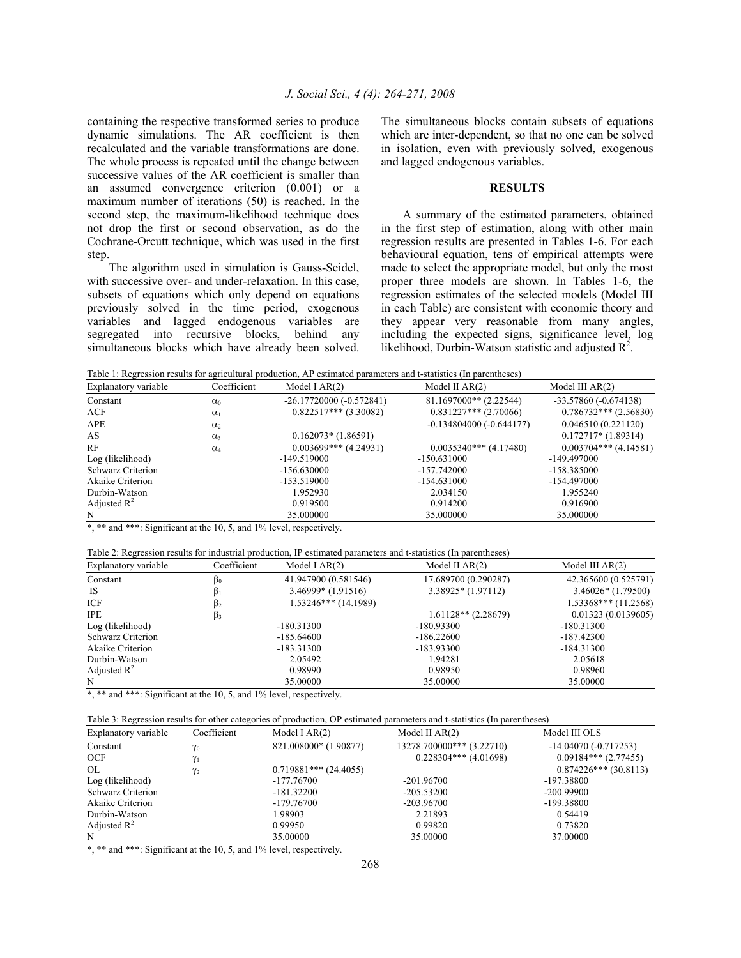containing the respective transformed series to produce dynamic simulations. The AR coefficient is then recalculated and the variable transformations are done. The whole process is repeated until the change between successive values of the AR coefficient is smaller than an assumed convergence criterion (0.001) or a maximum number of iterations (50) is reached. In the second step, the maximum-likelihood technique does not drop the first or second observation, as do the Cochrane-Orcutt technique, which was used in the first step.

 The algorithm used in simulation is Gauss-Seidel, with successive over- and under-relaxation. In this case, subsets of equations which only depend on equations previously solved in the time period, exogenous variables and lagged endogenous variables are segregated into recursive blocks, behind any simultaneous blocks which have already been solved.

The simultaneous blocks contain subsets of equations which are inter-dependent, so that no one can be solved in isolation, even with previously solved, exogenous and lagged endogenous variables.

#### **RESULTS**

 A summary of the estimated parameters, obtained in the first step of estimation, along with other main regression results are presented in Tables 1-6. For each behavioural equation, tens of empirical attempts were made to select the appropriate model, but only the most proper three models are shown. In Tables 1-6, the regression estimates of the selected models (Model III in each Table) are consistent with economic theory and they appear very reasonable from many angles, including the expected signs, significance level, log likelihood, Durbin-Watson statistic and adjusted  $\mathbb{R}^2$ .

Table 1: Regression results for agricultural production, AP estimated parameters and t-statistics (In parentheses)

| Coefficient<br>Explanatory variable |            | Model I $AR(2)$           | Model II $AR(2)$          | Model III $AR(2)$       |  |
|-------------------------------------|------------|---------------------------|---------------------------|-------------------------|--|
| Constant                            | $\alpha_0$ | $-26.17720000(-0.572841)$ | 81.1697000** (2.22544)    | $-33.57860(-0.674138)$  |  |
| ACF                                 | $\alpha_1$ | $0.822517***$ (3.30082)   | $0.831227***$ (2.70066)   | $0.786732***$ (2.56830) |  |
| APE                                 | $\alpha_2$ |                           | $-0.134804000(-0.644177)$ | 0.046510(0.221120)      |  |
| AS                                  | $\alpha_3$ | $0.162073*(1.86591)$      |                           | $0.172717*(1.89314)$    |  |
| RF                                  | $\alpha_4$ | $0.003699***$ (4.24931)   | $0.0035340***$ (4.17480)  | $0.003704***$ (4.14581) |  |
| Log (likelihood)                    |            | $-149.519000$             | $-150.631000$             | -149.497000             |  |
| Schwarz Criterion                   |            | $-156.630000$             | $-157.742000$             | -158.385000             |  |
| Akaike Criterion                    |            | $-153.519000$             | $-154.631000$             | -154.497000             |  |
| Durbin-Watson                       |            | 1.952930                  | 2.034150                  | 1.955240                |  |
| Adjusted $\mathbb{R}^2$             |            | 0.919500                  | 0.914200                  | 0.916900                |  |
| N                                   |            | 35,000000                 | 35.000000                 | 35.000000               |  |

\*, \*\* and \*\*\*: Significant at the 10, 5, and 1% level, respectively.

| Table 2: Regression results for industrial production, IP estimated parameters and t-statistics (In parentheses) |  |  |  |
|------------------------------------------------------------------------------------------------------------------|--|--|--|
|------------------------------------------------------------------------------------------------------------------|--|--|--|

| Coefficient<br>Explanatory variable |           | Model I $AR(2)$        | Model II $AR(2)$      | Model III $AR(2)$     |  |
|-------------------------------------|-----------|------------------------|-----------------------|-----------------------|--|
| Constant                            | $\beta_0$ | 41.947900 (0.581546)   | 17.689700 (0.290287)  | 42.365600 (0.525791)  |  |
| <b>IS</b>                           |           | $3.46999*$ (1.91516)   | $3.38925*(1.97112)$   | $3.46026*(1.79500)$   |  |
| ICF                                 | Þ2        | $1.53246***$ (14.1989) |                       | $1.53368***(11.2568)$ |  |
| <b>IPE</b>                          | $\beta_3$ |                        | $1.61128**$ (2.28679) | 0.01323(0.0139605)    |  |
| Log (likelihood)                    |           | $-180.31300$           | $-180.93300$          | $-180.31300$          |  |
| Schwarz Criterion                   |           | $-185.64600$           | $-186.22600$          | $-187.42300$          |  |
| Akaike Criterion                    |           | $-183.31300$           | $-183.93300$          | $-184.31300$          |  |
| Durbin-Watson                       |           | 2.05492                | 1.94281               | 2.05618               |  |
| Adjusted $\mathbb{R}^2$             |           | 0.98990                | 0.98950               | 0.98960               |  |
| N                                   |           | 35,00000               | 35,00000              | 35,00000              |  |

\*, \*\* and \*\*\*: Significant at the 10, 5, and 1% level, respectively.

| Table 3: Regression results for other categories of production, OP estimated parameters and t-statistics (In parentheses) |  |  |  |
|---------------------------------------------------------------------------------------------------------------------------|--|--|--|
|---------------------------------------------------------------------------------------------------------------------------|--|--|--|

| Explanatory variable    | Coefficient<br>Model I $AR(2)$ |                         | Model II $AR(2)$          | Model III OLS           |  |
|-------------------------|--------------------------------|-------------------------|---------------------------|-------------------------|--|
| Constant                | $\gamma_0$                     | 821.008000* (1.90877)   | 13278.700000*** (3.22710) | $-14.04070(-0.717253)$  |  |
| <b>OCF</b>              | γı                             |                         | $0.228304***$ (4.01698)   | $0.09184***$ (2.77455)  |  |
| OL                      | Y2                             | $0.719881***$ (24.4055) |                           | $0.874226***$ (30.8113) |  |
| Log (likelihood)        |                                | $-177.76700$            | $-201.96700$              | $-197.38800$            |  |
| Schwarz Criterion       |                                | $-181.32200$            | $-205.53200$              | $-200.99900$            |  |
| Akaike Criterion        |                                | $-179.76700$            | $-203.96700$              | -199.38800              |  |
| Durbin-Watson           |                                | 1.98903                 | 2.21893                   | 0.54419                 |  |
| Adjusted $\mathbb{R}^2$ |                                | 0.99950                 | 0.99820                   | 0.73820                 |  |
| N                       |                                | 35,00000                | 35,00000                  | 37,00000                |  |

\*, \*\* and \*\*\*: Significant at the 10, 5, and 1% level, respectively.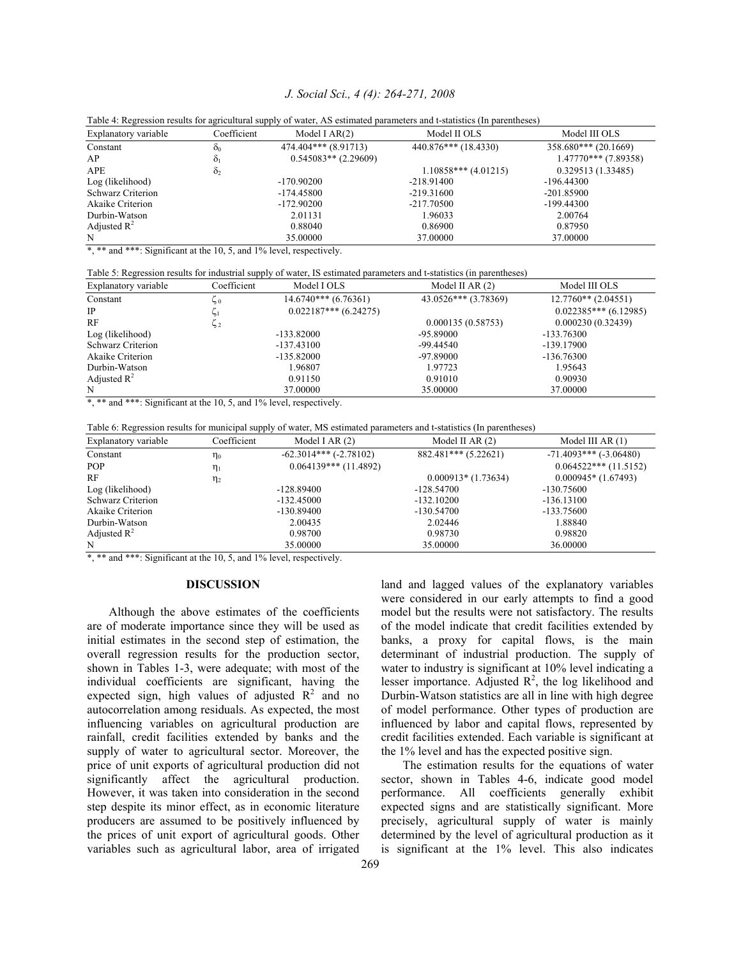## *J. Social Sci., 4 (4): 264-271, 2008*

| Explanatory variable     | Coefficient    | Model I $AR(2)$        | Model II OLS           | Model III OLS          |  |
|--------------------------|----------------|------------------------|------------------------|------------------------|--|
| Constant                 | $\mathbf{O}_0$ | 474.404*** (8.91713)   | $440.876***$ (18.4330) | $358.680***$ (20.1669) |  |
| AP                       | Ò1             | $0.545083**$ (2.29609) |                        | $1.47770***$ (7.89358) |  |
| <b>APE</b>               | $\delta_2$     |                        | $1.10858***$ (4.01215) | 0.329513(1.33485)      |  |
| Log (likelihood)         |                | $-170.90200$           | $-218.91400$           | $-196.44300$           |  |
| <b>Schwarz Criterion</b> |                | $-174.45800$           | $-219.31600$           | $-201.85900$           |  |
| Akaike Criterion         |                | $-172.90200$           | $-217.70500$           | $-199.44300$           |  |
| Durbin-Watson            |                | 2.01131                | 1.96033                | 2.00764                |  |
| Adjusted $\mathbb{R}^2$  |                | 0.88040                | 0.86900                | 0.87950                |  |
| N                        |                | 35,00000               | 37,00000               | 37,00000               |  |

|  |  | Table 4: Regression results for agricultural supply of water, AS estimated parameters and t-statistics (In parentheses) |  |
|--|--|-------------------------------------------------------------------------------------------------------------------------|--|
|  |  |                                                                                                                         |  |

\*, \*\* and \*\*\*: Significant at the 10, 5, and 1% level, respectively.

Table 5: Regression results for industrial supply of water, IS estimated parameters and t-statistics (in parentheses)

| Explanatory variable    | Coefficient | Model I OLS             | Model II AR $(2)$    | Model III OLS          |
|-------------------------|-------------|-------------------------|----------------------|------------------------|
| Constant                | ں جا        | $14.6740***$ (6.76361)  | 43.0526*** (3.78369) | $12.7760**$ (2.04551)  |
| <b>IP</b>               |             | $0.022187***$ (6.24275) |                      | $0.022385***(6.12985)$ |
| RF                      | 52          |                         | 0.000135(0.58753)    | 0.000230(0.32439)      |
| Log (likelihood)        |             | $-133.82000$            | -95.89000            | $-133.76300$           |
| Schwarz Criterion       |             | $-137.43100$            | -99.44540            | $-139.17900$           |
| Akaike Criterion        |             | $-135.82000$            | -97.89000            | $-136.76300$           |
| Durbin-Watson           |             | 1.96807                 | 1.97723              | 1.95643                |
| Adjusted $\mathbb{R}^2$ |             | 0.91150                 | 0.91010              | 0.90930                |
| N                       |             | 37,00000                | 35,00000             | 37,00000               |

\*, \*\* and \*\*\*: Significant at the 10, 5, and 1% level, respectively.

| Table 6: Regression results for municipal supply of water, MS estimated parameters and t-statistics (In parentheses) |  |  |  |
|----------------------------------------------------------------------------------------------------------------------|--|--|--|
|                                                                                                                      |  |  |  |

| Explanatory variable    | Coefficient | Model I AR $(2)$           | Model II AR $(2)$    | Model III AR $(1)$         |
|-------------------------|-------------|----------------------------|----------------------|----------------------------|
| Constant                | $\eta_0$    | $-62.3014***$ $(-2.78102)$ | 882.481*** (5.22621) | $-71.4093***$ $(-3.06480)$ |
| <b>POP</b>              | $\eta_1$    | $0.064139***$ (11.4892)    |                      | $0.064522***$ (11.5152)    |
| RF                      | $\eta_2$    |                            | $0.000913*(1.73634)$ | $0.000945*(1.67493)$       |
| Log (likelihood)        |             | $-128.89400$               | $-128.54700$         | $-130.75600$               |
| Schwarz Criterion       |             | $-132.45000$               | $-132.10200$         | $-136.13100$               |
| Akaike Criterion        |             | $-130.89400$               | $-130.54700$         | $-133.75600$               |
| Durbin-Watson           |             | 2.00435                    | 2.02446              | 1.88840                    |
| Adjusted $\mathbb{R}^2$ |             | 0.98700                    | 0.98730              | 0.98820                    |
| N                       |             | 35,00000                   | 35,00000             | 36,00000                   |

\*, \*\* and \*\*\*: Significant at the 10, 5, and 1% level, respectively.

### **DISCUSSION**

 Although the above estimates of the coefficients are of moderate importance since they will be used as initial estimates in the second step of estimation, the overall regression results for the production sector, shown in Tables 1-3, were adequate; with most of the individual coefficients are significant, having the expected sign, high values of adjusted  $\mathbb{R}^2$  and no autocorrelation among residuals. As expected, the most influencing variables on agricultural production are rainfall, credit facilities extended by banks and the supply of water to agricultural sector. Moreover, the price of unit exports of agricultural production did not significantly affect the agricultural production. However, it was taken into consideration in the second step despite its minor effect, as in economic literature producers are assumed to be positively influenced by the prices of unit export of agricultural goods. Other variables such as agricultural labor, area of irrigated

land and lagged values of the explanatory variables were considered in our early attempts to find a good model but the results were not satisfactory. The results of the model indicate that credit facilities extended by banks, a proxy for capital flows, is the main determinant of industrial production. The supply of water to industry is significant at 10% level indicating a lesser importance. Adjusted  $R^2$ , the log likelihood and Durbin-Watson statistics are all in line with high degree of model performance. Other types of production are influenced by labor and capital flows, represented by credit facilities extended. Each variable is significant at the 1% level and has the expected positive sign.

 The estimation results for the equations of water sector, shown in Tables 4-6, indicate good model performance. All coefficients generally exhibit expected signs and are statistically significant. More precisely, agricultural supply of water is mainly determined by the level of agricultural production as it is significant at the 1% level. This also indicates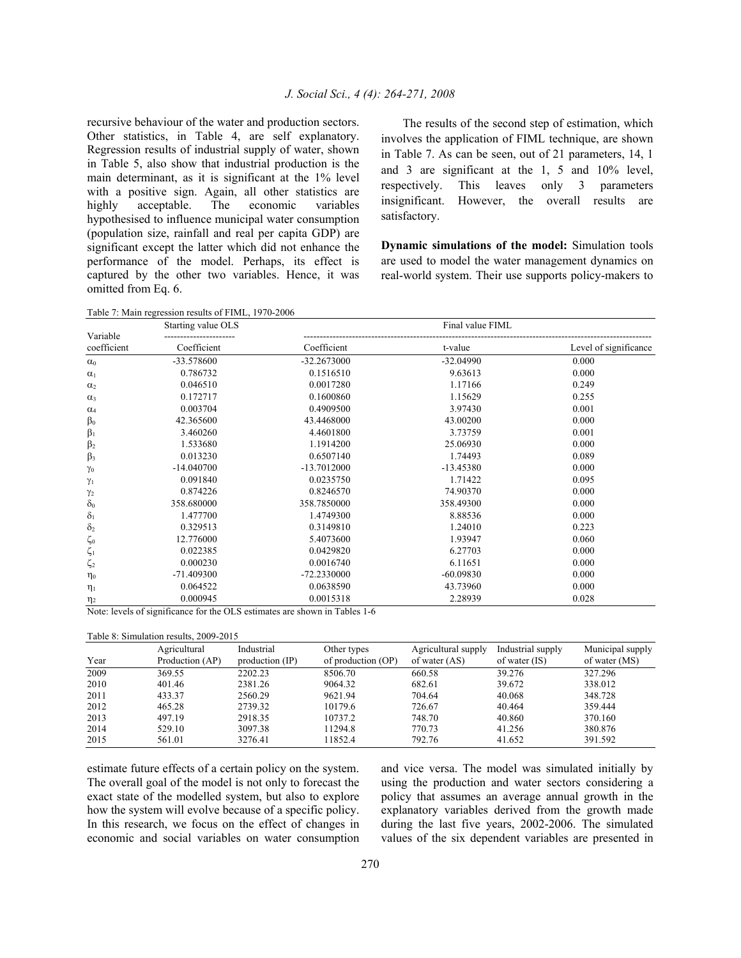recursive behaviour of the water and production sectors. Other statistics, in Table 4, are self explanatory. Regression results of industrial supply of water, shown in Table 5, also show that industrial production is the main determinant, as it is significant at the 1% level with a positive sign. Again, all other statistics are highly acceptable. The economic variables hypothesised to influence municipal water consumption (population size, rainfall and real per capita GDP) are significant except the latter which did not enhance the performance of the model. Perhaps, its effect is captured by the other two variables. Hence, it was omitted from Eq. 6.

 The results of the second step of estimation, which involves the application of FIML technique, are shown in Table 7. As can be seen, out of 21 parameters, 14, 1 and 3 are significant at the 1, 5 and 10% level, respectively. This leaves only 3 parameters insignificant. However, the overall results are satisfactory.

**Dynamic simulations of the model:** Simulation tools are used to model the water management dynamics on real-world system. Their use supports policy-makers to

Table 7: Main regression results of FIML, 1970-2006

| Starting value OLS      |              |               | Final value FIML |                       |  |
|-------------------------|--------------|---------------|------------------|-----------------------|--|
| Variable<br>coefficient | Coefficient  | Coefficient   | t-value          | Level of significance |  |
| $\alpha_0$              | -33.578600   | $-32.2673000$ | $-32.04990$      | 0.000                 |  |
| $\alpha_1$              | 0.786732     | 0.1516510     | 9.63613          | 0.000                 |  |
| $\alpha_2$              | 0.046510     | 0.0017280     | 1.17166          | 0.249                 |  |
| $\alpha_3$              | 0.172717     | 0.1600860     | 1.15629          | 0.255                 |  |
| $\alpha_4$              | 0.003704     | 0.4909500     | 3.97430          | 0.001                 |  |
| $\beta_0$               | 42.365600    | 43.4468000    | 43.00200         | 0.000                 |  |
| $\beta_1$               | 3.460260     | 4.4601800     | 3.73759          | 0.001                 |  |
| $\beta_2$               | 1.533680     | 1.1914200     | 25.06930         | 0.000                 |  |
| $\beta_3$               | 0.013230     | 0.6507140     | 1.74493          | 0.089                 |  |
| $\gamma_0$              | $-14.040700$ | $-13.7012000$ | $-13.45380$      | 0.000                 |  |
| $\gamma_1$              | 0.091840     | 0.0235750     | 1.71422          | 0.095                 |  |
| $\gamma_2$              | 0.874226     | 0.8246570     | 74.90370         | 0.000                 |  |
| $\delta_0$              | 358.680000   | 358.7850000   | 358.49300        | 0.000                 |  |
| $\delta_1$              | 1.477700     | 1.4749300     | 8.88536          | 0.000                 |  |
| $\delta_2$              | 0.329513     | 0.3149810     | 1.24010          | 0.223                 |  |
| $\zeta_0$               | 12.776000    | 5.4073600     | 1.93947          | 0.060                 |  |
| $\zeta_1$               | 0.022385     | 0.0429820     | 6.27703          | 0.000                 |  |
| $\zeta_2$               | 0.000230     | 0.0016740     | 6.11651          | 0.000                 |  |
| $\eta_0$                | $-71.409300$ | -72.2330000   | $-60.09830$      | 0.000                 |  |
| $\eta_1$                | 0.064522     | 0.0638590     | 43.73960         | 0.000                 |  |
| $\eta_2$                | 0.000945     | 0.0015318     | 2.28939          | 0.028                 |  |

Note: levels of significance for the OLS estimates are shown in Tables 1-6

Table 8: Simulation results, 2009-2015

| Year | Agricultural<br>Production (AP) | Industrial<br>production (IP) | Other types<br>of production (OP) | Agricultural supply<br>of water (AS) | Industrial supply<br>of water (IS) | Municipal supply<br>of water (MS) |
|------|---------------------------------|-------------------------------|-----------------------------------|--------------------------------------|------------------------------------|-----------------------------------|
| 2009 | 369.55                          | 2202.23                       | 8506.70                           | 660.58                               | 39.276                             | 327.296                           |
| 2010 | 401.46                          | 2381.26                       | 9064.32                           | 682.61                               | 39.672                             | 338.012                           |
| 2011 | 433.37                          | 2560.29                       | 9621.94                           | 704.64                               | 40.068                             | 348.728                           |
| 2012 | 465.28                          | 2739.32                       | 10179.6                           | 726.67                               | 40.464                             | 359.444                           |
| 2013 | 497.19                          | 2918.35                       | 10737.2                           | 748.70                               | 40.860                             | 370.160                           |
| 2014 | 529.10                          | 3097.38                       | 11294.8                           | 770.73                               | 41.256                             | 380.876                           |
| 2015 | 561.01                          | 3276.41                       | 11852.4                           | 792.76                               | 41.652                             | 391.592                           |

estimate future effects of a certain policy on the system. The overall goal of the model is not only to forecast the exact state of the modelled system, but also to explore how the system will evolve because of a specific policy. In this research, we focus on the effect of changes in economic and social variables on water consumption

and vice versa. The model was simulated initially by using the production and water sectors considering a policy that assumes an average annual growth in the explanatory variables derived from the growth made during the last five years, 2002-2006. The simulated values of the six dependent variables are presented in